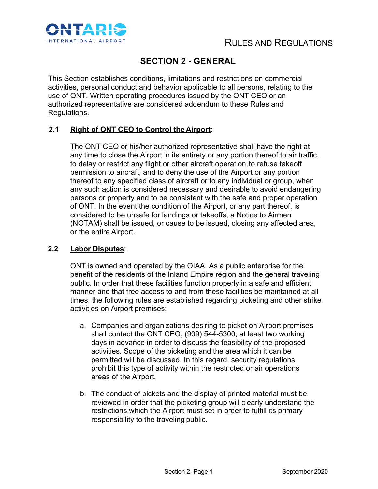

# **SECTION 2 - GENERAL**

This Section establishes conditions, limitations and restrictions on commercial activities, personal conduct and behavior applicable to all persons, relating to the use of ONT. Written operating procedures issued by the ONT CEO or an authorized representative are considered addendum to these Rules and Regulations.

# **2.1 Right of ONT CEO to Control the Airport:**

The ONT CEO or his/her authorized representative shall have the right at any time to close the Airport in its entirety or any portion thereof to air traffic, to delay or restrict any flight or other aircraft operation, to refuse takeoff permission to aircraft, and to deny the use of the Airport or any portion thereof to any specified class of aircraft or to any individual or group, when any such action is considered necessary and desirable to avoid endangering persons or property and to be consistent with the safe and proper operation of ONT. In the event the condition of the Airport, or any part thereof, is considered to be unsafe for landings or takeoffs, a Notice to Airmen (NOTAM) shall be issued, or cause to be issued, closing any affected area, or the entire Airport.

# **2.2 Labor Disputes**:

ONT is owned and operated by the OIAA. As a public enterprise for the benefit of the residents of the Inland Empire region and the general traveling public. In order that these facilities function properly in a safe and efficient manner and that free access to and from these facilities be maintained at all times, the following rules are established regarding picketing and other strike activities on Airport premises:

- a. Companies and organizations desiring to picket on Airport premises shall contact the ONT CEO, (909) 544-5300, at least two working days in advance in order to discuss the feasibility of the proposed activities. Scope of the picketing and the area which it can be permitted will be discussed. In this regard, security regulations prohibit this type of activity within the restricted or air operations areas of the Airport.
- b. The conduct of pickets and the display of printed material must be reviewed in order that the picketing group will clearly understand the restrictions which the Airport must set in order to fulfill its primary responsibility to the traveling public.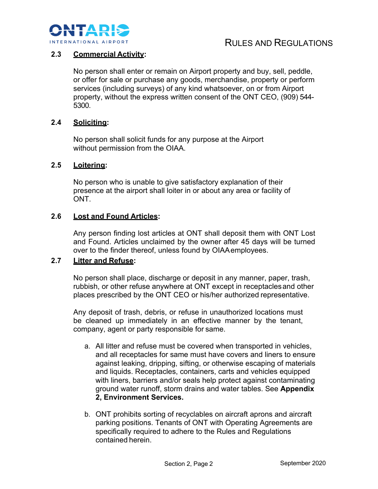

# **2.3 Commercial Activity:**

No person shall enter or remain on Airport property and buy, sell, peddle, or offer for sale or purchase any goods, merchandise, property or perform services (including surveys) of any kind whatsoever, on or from Airport property, without the express written consent of the ONT CEO, (909) 544- 5300.

#### **2.4 Soliciting:**

No person shall solicit funds for any purpose at the Airport without permission from the OIAA.

#### **2.5 Loitering:**

No person who is unable to give satisfactory explanation of their presence at the airport shall loiter in or about any area or facility of ONT.

#### **2.6 Lost and Found Articles:**

Any person finding lost articles at ONT shall deposit them with ONT Lost and Found. Articles unclaimed by the owner after 45 days will be turned over to the finder thereof, unless found by OIAAemployees.

#### **2.7 Litter and Refuse:**

No person shall place, discharge or deposit in any manner, paper, trash, rubbish, or other refuse anywhere at ONT except in receptaclesand other places prescribed by the ONT CEO or his/her authorized representative.

Any deposit of trash, debris, or refuse in unauthorized locations must be cleaned up immediately in an effective manner by the tenant, company, agent or party responsible for same.

- a. All litter and refuse must be covered when transported in vehicles, and all receptacles for same must have covers and liners to ensure against leaking, dripping, sifting, or otherwise escaping of materials and liquids. Receptacles, containers, carts and vehicles equipped with liners, barriers and/or seals help protect against contaminating ground water runoff, storm drains and water tables. See **Appendix 2, Environment Services.**
- b. ONT prohibits sorting of recyclables on aircraft aprons and aircraft parking positions. Tenants of ONT with Operating Agreements are specifically required to adhere to the Rules and Regulations contained herein.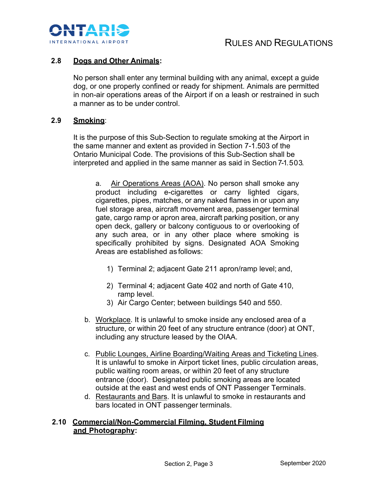

# **2.8 Dogs and Other Animals:**

No person shall enter any terminal building with any animal, except a guide dog, or one properly confined or ready for shipment. Animals are permitted in non-air operations areas of the Airport if on a leash or restrained in such a manner as to be under control.

# **2.9 Smoking**:

It is the purpose of this Sub-Section to regulate smoking at the Airport in the same manner and extent as provided in Section 7-1.503 of the Ontario Municipal Code. The provisions of this Sub-Section shall be interpreted and applied in the same manner as said in Section 7-1.503.

a. Air Operations Areas (AOA). No person shall smoke any product including e-cigarettes or carry lighted cigars, cigarettes, pipes, matches, or any naked flames in or upon any fuel storage area, aircraft movement area, passenger terminal gate, cargo ramp or apron area, aircraft parking position, or any open deck, gallery or balcony contiguous to or overlooking of any such area, or in any other place where smoking is specifically prohibited by signs. Designated AOA Smoking Areas are established as follows:

- 1) Terminal 2; adjacent Gate 211 apron/ramp level; and,
- 2) Terminal 4; adjacent Gate 402 and north of Gate 410, ramp level.
- 3) Air Cargo Center; between buildings 540 and 550.
- b. Workplace. It is unlawful to smoke inside any enclosed area of a structure, or within 20 feet of any structure entrance (door) at ONT, including any structure leased by the OIAA.
- c. Public Lounges, Airline Boarding/Waiting Areas and Ticketing Lines. It is unlawful to smoke in Airport ticket lines, public circulation areas, public waiting room areas, or within 20 feet of any structure entrance (door). Designated public smoking areas are located outside at the east and west ends of ONT Passenger Terminals.
- d. Restaurants and Bars. It is unlawful to smoke in restaurants and bars located in ONT passenger terminals.

#### **2.10 Commercial/Non-Commercial Filming, Student Filming and Photography:**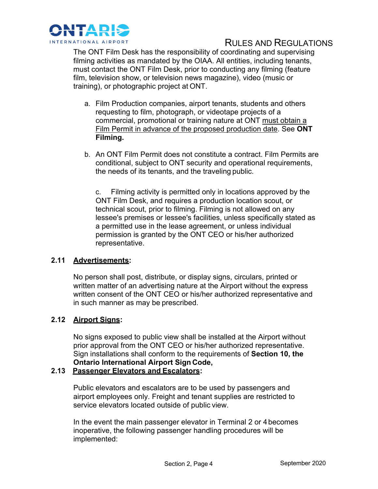

# RULES AND REGULATIONS

The ONT Film Desk has the responsibility of coordinating and supervising filming activities as mandated by the OIAA. All entities, including tenants, must contact the ONT Film Desk, prior to conducting any filming (feature film, television show, or television news magazine), video (music or training), or photographic project at ONT.

- a. Film Production companies, airport tenants, students and others requesting to film, photograph, or videotape projects of a commercial, promotional or training nature at ONT must obtain a Film Permit in advance of the proposed production date. See **ONT Filming.**
- b. An ONT Film Permit does not constitute a contract. Film Permits are conditional, subject to ONT security and operational requirements, the needs of its tenants, and the traveling public.

c. Filming activity is permitted only in locations approved by the ONT Film Desk, and requires a production location scout, or technical scout, prior to filming. Filming is not allowed on any lessee's premises or lessee's facilities, unless specifically stated as a permitted use in the lease agreement, or unless individual permission is granted by the ONT CEO or his/her authorized representative.

# **2.11 Advertisements:**

No person shall post, distribute, or display signs, circulars, printed or written matter of an advertising nature at the Airport without the express written consent of the ONT CEO or his/her authorized representative and in such manner as may be prescribed.

# **2.12 Airport Signs:**

No signs exposed to public view shall be installed at the Airport without prior approval from the ONT CEO or his/her authorized representative. Sign installations shall conform to the requirements of **Section 10, the Ontario International Airport Sign Code,**

#### **2.13 Passenger Elevators and Escalators:**

Public elevators and escalators are to be used by passengers and airport employees only. Freight and tenant supplies are restricted to service elevators located outside of public view.

In the event the main passenger elevator in Terminal 2 or 4becomes inoperative, the following passenger handling procedures will be implemented: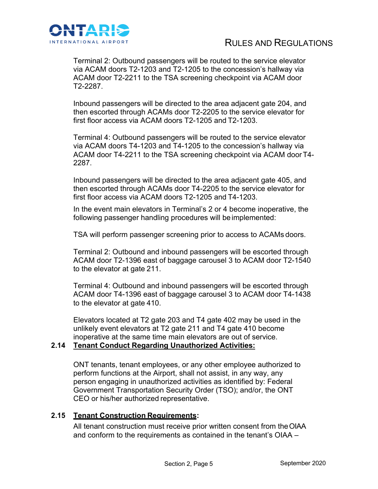

Terminal 2: Outbound passengers will be routed to the service elevator via ACAM doors T2-1203 and T2-1205 to the concession's hallway via ACAM door T2-2211 to the TSA screening checkpoint via ACAM door T2-2287.

Inbound passengers will be directed to the area adjacent gate 204, and then escorted through ACAMs door T2-2205 to the service elevator for first floor access via ACAM doors T2-1205 and T2-1203.

Terminal 4: Outbound passengers will be routed to the service elevator via ACAM doors T4-1203 and T4-1205 to the concession's hallway via ACAM door T4-2211 to the TSA screening checkpoint via ACAM doorT4- 2287.

Inbound passengers will be directed to the area adjacent gate 405, and then escorted through ACAMs door T4-2205 to the service elevator for first floor access via ACAM doors T2-1205 and T4-1203.

In the event main elevators in Terminal's 2 or 4 become inoperative, the following passenger handling procedures will be implemented:

TSA will perform passenger screening prior to access to ACAMs doors.

Terminal 2: Outbound and inbound passengers will be escorted through ACAM door T2-1396 east of baggage carousel 3 to ACAM door T2-1540 to the elevator at gate 211.

Terminal 4: Outbound and inbound passengers will be escorted through ACAM door T4-1396 east of baggage carousel 3 to ACAM door T4-1438 to the elevator at gate 410.

Elevators located at T2 gate 203 and T4 gate 402 may be used in the unlikely event elevators at T2 gate 211 and T4 gate 410 become inoperative at the same time main elevators are out of service.

# **2.14 Tenant Conduct Regarding Unauthorized Activities:**

ONT tenants, tenant employees, or any other employee authorized to perform functions at the Airport, shall not assist, in any way, any person engaging in unauthorized activities as identified by: Federal Government Transportation Security Order (TSO); and/or, the ONT CEO or his/her authorized representative.

# **2.15 Tenant Construction Requirements:**

All tenant construction must receive prior written consent from the OIAA and conform to the requirements as contained in the tenant's OIAA –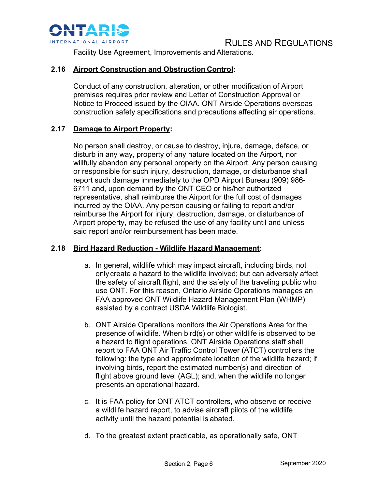

# RULES AND REGULATIONS

Facility Use Agreement, Improvements and Alterations.

# **2.16 Airport Construction and Obstruction Control:**

Conduct of any construction, alteration, or other modification of Airport premises requires prior review and Letter of Construction Approval or Notice to Proceed issued by the OIAA. ONT Airside Operations overseas construction safety specifications and precautions affecting air operations.

# **2.17 Damage to Airport Property:**

No person shall destroy, or cause to destroy, injure, damage, deface, or disturb in any way, property of any nature located on the Airport, nor willfully abandon any personal property on the Airport. Any person causing or responsible for such injury, destruction, damage, or disturbance shall report such damage immediately to the OPD Airport Bureau (909) 986- 6711 and, upon demand by the ONT CEO or his/her authorized representative, shall reimburse the Airport for the full cost of damages incurred by the OIAA. Any person causing or failing to report and/or reimburse the Airport for injury, destruction, damage, or disturbance of Airport property, may be refused the use of any facility until and unless said report and/or reimbursement has been made.

#### **2.18 Bird Hazard Reduction - Wildlife Hazard Management:**

- a. In general, wildlife which may impact aircraft, including birds, not only create a hazard to the wildlife involved; but can adversely affect the safety of aircraft flight, and the safety of the traveling public who use ONT. For this reason, Ontario Airside Operations manages an FAA approved ONT Wildlife Hazard Management Plan (WHMP) assisted by a contract USDA Wildlife Biologist.
- b. ONT Airside Operations monitors the Air Operations Area for the presence of wildlife. When bird(s) or other wildlife is observed to be a hazard to flight operations, ONT Airside Operations staff shall report to FAA ONT Air Traffic Control Tower (ATCT) controllers the following: the type and approximate location of the wildlife hazard; if involving birds, report the estimated number(s) and direction of flight above ground level (AGL); and, when the wildlife no longer presents an operational hazard.
- c. It is FAA policy for ONT ATCT controllers, who observe or receive a wildlife hazard report, to advise aircraft pilots of the wildlife activity until the hazard potential is abated.
- d. To the greatest extent practicable, as operationally safe, ONT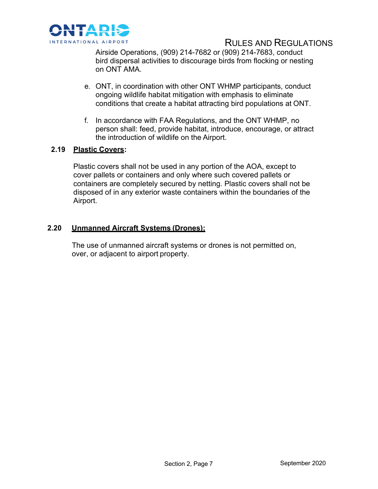

# RULES AND REGULATIONS

Airside Operations, (909) 214-7682 or (909) 214-7683, conduct bird dispersal activities to discourage birds from flocking or nesting on ONT AMA.

- e. ONT, in coordination with other ONT WHMP participants, conduct ongoing wildlife habitat mitigation with emphasis to eliminate conditions that create a habitat attracting bird populations at ONT.
- f. In accordance with FAA Regulations, and the ONT WHMP, no person shall: feed, provide habitat, introduce, encourage, or attract the introduction of wildlife on the Airport.

# **2.19 Plastic Covers:**

Plastic covers shall not be used in any portion of the AOA, except to cover pallets or containers and only where such covered pallets or containers are completely secured by netting. Plastic covers shall not be disposed of in any exterior waste containers within the boundaries of the Airport.

#### **2.20 Unmanned Aircraft Systems (Drones):**

The use of unmanned aircraft systems or drones is not permitted on, over, or adjacent to airport property.